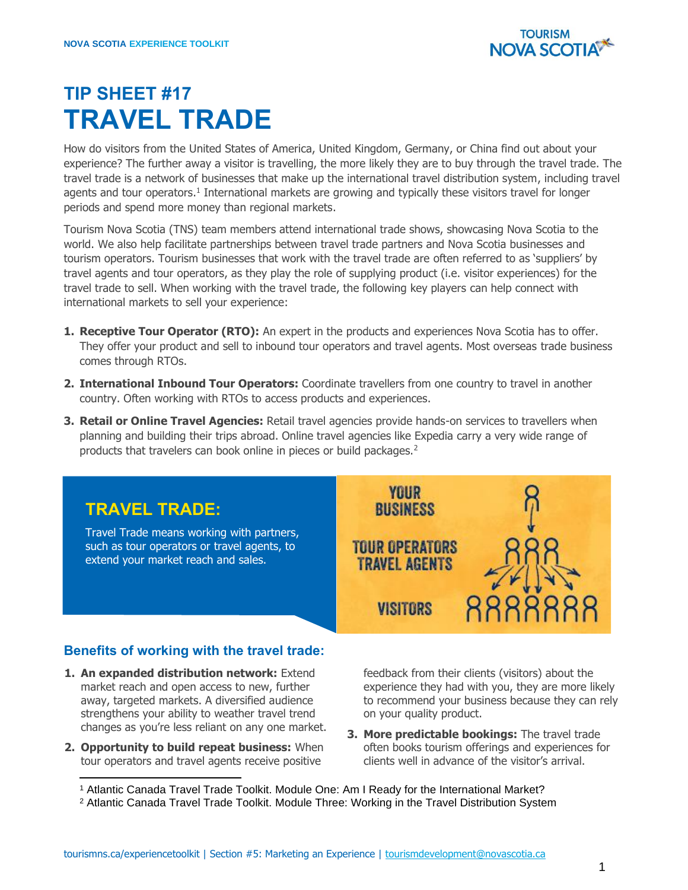

## **TIP SHEET #17 TRAVEL TRADE**

How do visitors from the United States of America, United Kingdom, Germany, or China find out about your experience? The further away a visitor is travelling, the more likely they are to buy through the travel trade. The travel trade is a network of businesses that make up the international travel distribution system, including travel agents and tour operators.<sup>1</sup> International markets are growing and typically these visitors travel for longer periods and spend more money than regional markets.

Tourism Nova Scotia (TNS) team members attend international trade shows, showcasing Nova Scotia to the world. We also help facilitate partnerships between travel trade partners and Nova Scotia businesses and tourism operators. Tourism businesses that work with the travel trade are often referred to as 'suppliers' by travel agents and tour operators, as they play the role of supplying product (i.e. visitor experiences) for the travel trade to sell. When working with the travel trade, the following key players can help connect with international markets to sell your experience:

- **1. Receptive Tour Operator (RTO):** An expert in the products and experiences Nova Scotia has to offer. They offer your product and sell to inbound tour operators and travel agents. Most overseas trade business comes through RTOs.
- **2. International Inbound Tour Operators:** Coordinate travellers from one country to travel in another country. Often working with RTOs to access products and experiences.
- **3. Retail or Online Travel Agencies:** Retail travel agencies provide hands-on services to travellers when planning and building their trips abroad. Online travel agencies like Expedia carry a very wide range of products that travelers can book online in pieces or build packages.<sup>2</sup>



## **Benefits of working with the travel trade:**

- **1. An expanded distribution network:** Extend market reach and open access to new, further away, targeted markets. A diversified audience strengthens your ability to weather travel trend changes as you're less reliant on any one market.
- **2. Opportunity to build repeat business:** When tour operators and travel agents receive positive

feedback from their clients (visitors) about the experience they had with you, they are more likely to recommend your business because they can rely on your quality product.

**3. More predictable bookings:** The travel trade often books tourism offerings and experiences for clients well in advance of the visitor's arrival.

<sup>2</sup> Atlantic Canada Travel Trade Toolkit. Module Three: Working in the Travel Distribution System

<sup>1</sup> Atlantic Canada Travel Trade Toolkit. Module One: Am I Ready for the International Market?